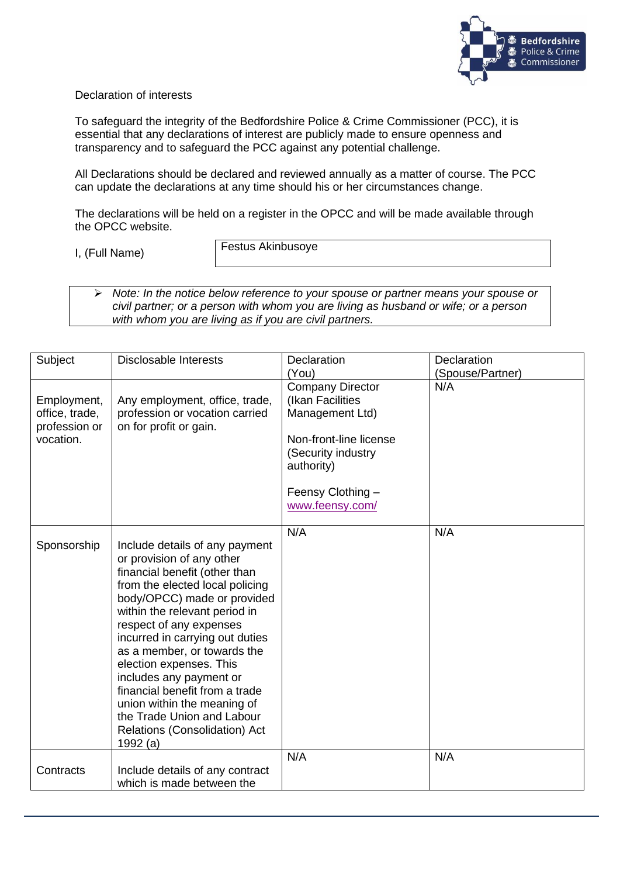

## Declaration of interests

To safeguard the integrity of the Bedfordshire Police & Crime Commissioner (PCC), it is essential that any declarations of interest are publicly made to ensure openness and transparency and to safeguard the PCC against any potential challenge.

All Declarations should be declared and reviewed annually as a matter of course. The PCC can update the declarations at any time should his or her circumstances change.

The declarations will be held on a register in the OPCC and will be made available through the OPCC website.

I, (Full Name)

Festus Akinbusoye

➢ *Note: In the notice below reference to your spouse or partner means your spouse or civil partner; or a person with whom you are living as husband or wife; or a person with whom you are living as if you are civil partners.*

| Subject                                                     | <b>Disclosable Interests</b>                                                                                                                                                                                                                                                                                                                                                                                                                                                                   | <b>Declaration</b>                                                                                                                                                   | <b>Declaration</b> |
|-------------------------------------------------------------|------------------------------------------------------------------------------------------------------------------------------------------------------------------------------------------------------------------------------------------------------------------------------------------------------------------------------------------------------------------------------------------------------------------------------------------------------------------------------------------------|----------------------------------------------------------------------------------------------------------------------------------------------------------------------|--------------------|
|                                                             |                                                                                                                                                                                                                                                                                                                                                                                                                                                                                                | (You)                                                                                                                                                                | (Spouse/Partner)   |
| Employment,<br>office, trade,<br>profession or<br>vocation. | Any employment, office, trade,<br>profession or vocation carried<br>on for profit or gain.                                                                                                                                                                                                                                                                                                                                                                                                     | <b>Company Director</b><br>(Ikan Facilities<br>Management Ltd)<br>Non-front-line license<br>(Security industry<br>authority)<br>Feensy Clothing -<br>www.feensy.com/ | N/A                |
| Sponsorship                                                 | Include details of any payment<br>or provision of any other<br>financial benefit (other than<br>from the elected local policing<br>body/OPCC) made or provided<br>within the relevant period in<br>respect of any expenses<br>incurred in carrying out duties<br>as a member, or towards the<br>election expenses. This<br>includes any payment or<br>financial benefit from a trade<br>union within the meaning of<br>the Trade Union and Labour<br>Relations (Consolidation) Act<br>1992 (a) | N/A                                                                                                                                                                  | N/A                |
| Contracts                                                   | Include details of any contract<br>which is made between the                                                                                                                                                                                                                                                                                                                                                                                                                                   | N/A                                                                                                                                                                  | N/A                |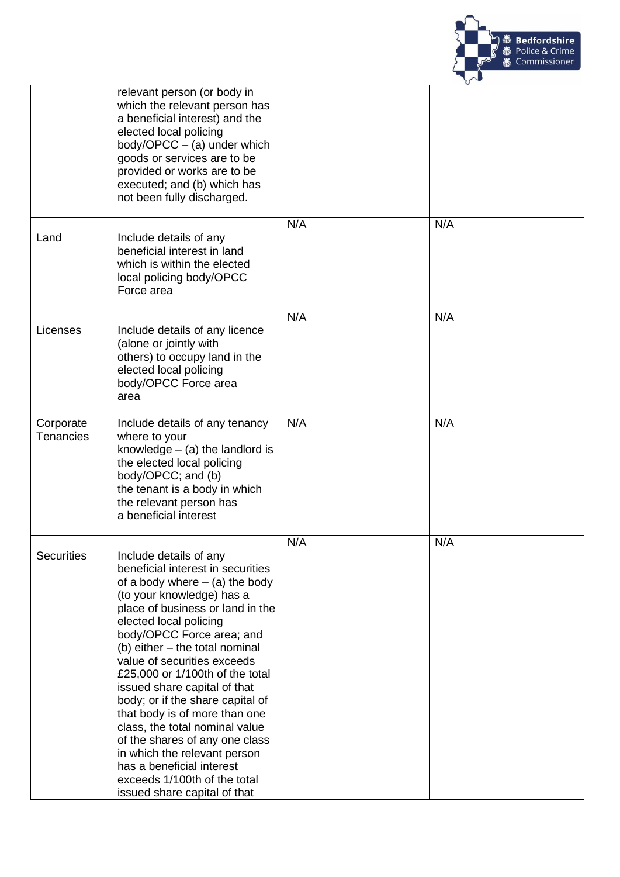

|                               | relevant person (or body in<br>which the relevant person has<br>a beneficial interest) and the<br>elected local policing<br>body/OPCC $-$ (a) under which<br>goods or services are to be<br>provided or works are to be<br>executed; and (b) which has<br>not been fully discharged.                                                                                                                                                                                                                                                                                                                                              |     |     |
|-------------------------------|-----------------------------------------------------------------------------------------------------------------------------------------------------------------------------------------------------------------------------------------------------------------------------------------------------------------------------------------------------------------------------------------------------------------------------------------------------------------------------------------------------------------------------------------------------------------------------------------------------------------------------------|-----|-----|
| Land                          | Include details of any<br>beneficial interest in land<br>which is within the elected<br>local policing body/OPCC<br>Force area                                                                                                                                                                                                                                                                                                                                                                                                                                                                                                    | N/A | N/A |
| Licenses                      | Include details of any licence<br>(alone or jointly with<br>others) to occupy land in the<br>elected local policing<br>body/OPCC Force area<br>area                                                                                                                                                                                                                                                                                                                                                                                                                                                                               | N/A | N/A |
| Corporate<br><b>Tenancies</b> | Include details of any tenancy<br>where to your<br>knowledge $-$ (a) the landlord is<br>the elected local policing<br>body/OPCC; and (b)<br>the tenant is a body in which<br>the relevant person has<br>a beneficial interest                                                                                                                                                                                                                                                                                                                                                                                                     | N/A | N/A |
| <b>Securities</b>             | Include details of any<br>beneficial interest in securities<br>of a body where $-$ (a) the body<br>(to your knowledge) has a<br>place of business or land in the<br>elected local policing<br>body/OPCC Force area; and<br>(b) either - the total nominal<br>value of securities exceeds<br>£25,000 or 1/100th of the total<br>issued share capital of that<br>body; or if the share capital of<br>that body is of more than one<br>class, the total nominal value<br>of the shares of any one class<br>in which the relevant person<br>has a beneficial interest<br>exceeds 1/100th of the total<br>issued share capital of that | N/A | N/A |